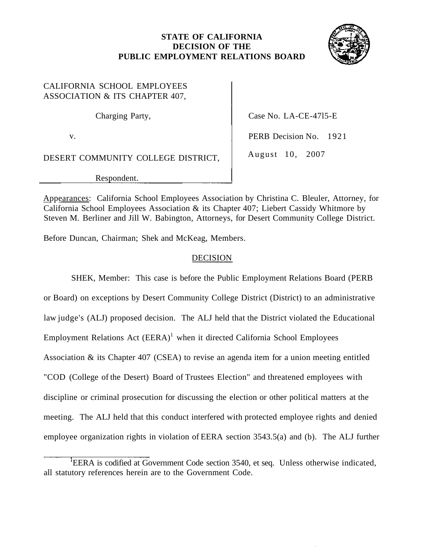## **STATE OF CALIFORNIA DECISION OF THE PUBLIC EMPLOYMENT RELATIONS BOARD**



## CALIFORNIA SCHOOL EMPLOYEES ASSOCIATION & ITS CHAPTER 407,

DESERT COMMUNITY COLLEGE DISTRICT, August 10, 2007

Respondent.

Charging Party, Case No. LA-CE-4715-E

v. PERB Decision No. 1921

Appearances: California School Employees Association by Christina C. Bleuler, Attorney, for California School Employees Association & its Chapter 407; Liebert Cassidy Whitmore by Steven M. Berliner and Jill W. Babington, Attorneys, for Desert Community College District.

Before Duncan, Chairman; Shek and McKeag, Members.

## **DECISION**

SHEK, Member: This case is before the Public Employment Relations Board (PERB or Board) on exceptions by Desert Community College District (District) to an administrative law judge's (ALJ) proposed decision. The ALJ held that the District violated the Educational Employment Relations Act  $(EERA)^1$  when it directed California School Employees Association & its Chapter 407 (CSEA) to revise an agenda item for a union meeting entitled "COD (College of the Desert) Board of Trustees Election" and threatened employees with discipline or criminal prosecution for discussing the election or other political matters at the meeting. The ALJ held that this conduct interfered with protected employee rights and denied employee organization rights in violation of EERA section 3543.5(a) and (b). The ALJ further

<sup>&</sup>lt;sup>I</sup>EERA is codified at Government Code section 3540, et seq. Unless otherwise indicated, all statutory references herein are to the Government Code.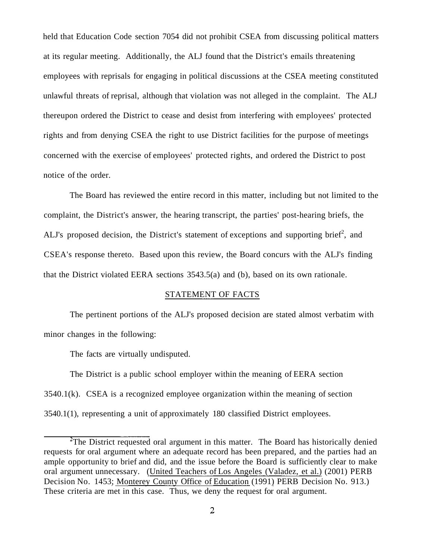held that Education Code section 7054 did not prohibit CSEA from discussing political matters at its regular meeting. Additionally, the ALJ found that the District's emails threatening employees with reprisals for engaging in political discussions at the CSEA meeting constituted unlawful threats of reprisal, although that violation was not alleged in the complaint. The ALJ thereupon ordered the District to cease and desist from interfering with employees' protected rights and from denying CSEA the right to use District facilities for the purpose of meetings concerned with the exercise of employees' protected rights, and ordered the District to post notice of the order.

The Board has reviewed the entire record in this matter, including but not limited to the complaint, the District's answer, the hearing transcript, the parties' post-hearing briefs, the ALJ's proposed decision, the District's statement of exceptions and supporting brief<sup>2</sup>, and CSEA's response thereto. Based upon this review, the Board concurs with the ALJ's finding that the District violated EERA sections 3543.5(a) and (b), based on its own rationale.

#### STATEMENT OF FACTS

The pertinent portions of the ALJ's proposed decision are stated almost verbatim with minor changes in the following:

The facts are virtually undisputed.

The District is a public school employer within the meaning of EERA section 3540.1(k). CSEA is a recognized employee organization within the meaning of section 3540.1(1), representing a unit of approximately 180 classified District employees.

 $2^2$ The District requested oral argument in this matter. The Board has historically denied requests for oral argument where an adequate record has been prepared, and the parties had an ample opportunity to brief and did, and the issue before the Board is sufficiently clear to make oral argument unnecessary. (United Teachers of Los Angeles (Valadez, et al.) (2001) PERB Decision No. 1453; Monterey County Office of Education (1991) PERB Decision No. 913.) These criteria are met in this case. Thus, we deny the request for oral argument.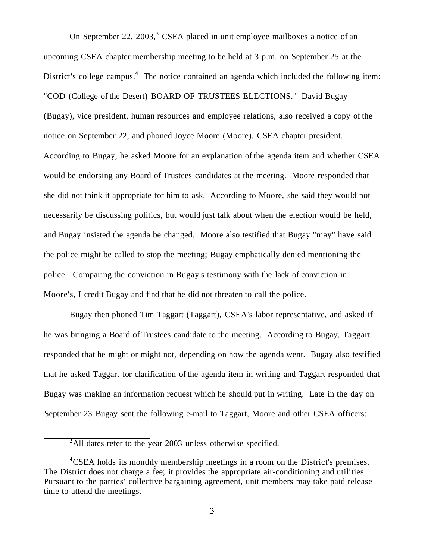On September 22, 2003, $3$  CSEA placed in unit employee mailboxes a notice of an upcoming CSEA chapter membership meeting to be held at 3 p.m. on September 25 at the District's college campus.<sup>4</sup> The notice contained an agenda which included the following item: "COD (College of the Desert) BOARD OF TRUSTEES ELECTIONS." David Bugay (Bugay), vice president, human resources and employee relations, also received a copy of the notice on September 22, and phoned Joyce Moore (Moore), CSEA chapter president. According to Bugay, he asked Moore for an explanation of the agenda item and whether CSEA would be endorsing any Board of Trustees candidates at the meeting. Moore responded that she did not think it appropriate for him to ask. According to Moore, she said they would not necessarily be discussing politics, but would just talk about when the election would be held, and Bugay insisted the agenda be changed. Moore also testified that Bugay "may" have said the police might be called to stop the meeting; Bugay emphatically denied mentioning the police. Comparing the conviction in Bugay's testimony with the lack of conviction in Moore's, I credit Bugay and find that he did not threaten to call the police.

Bugay then phoned Tim Taggart (Taggart), CSEA's labor representative, and asked if he was bringing a Board of Trustees candidate to the meeting. According to Bugay, Taggart responded that he might or might not, depending on how the agenda went. Bugay also testified that he asked Taggart for clarification of the agenda item in writing and Taggart responded that Bugay was making an information request which he should put in writing. Late in the day on September 23 Bugay sent the following e-mail to Taggart, Moore and other CSEA officers:

<sup>&</sup>lt;sup>3</sup>All dates refer to the year 2003 unless otherwise specified.

<sup>&</sup>lt;sup>4</sup>CSEA holds its monthly membership meetings in a room on the District's premises. The District does not charge a fee; it provides the appropriate air-conditioning and utilities. Pursuant to the parties' collective bargaining agreement, unit members may take paid release time to attend the meetings.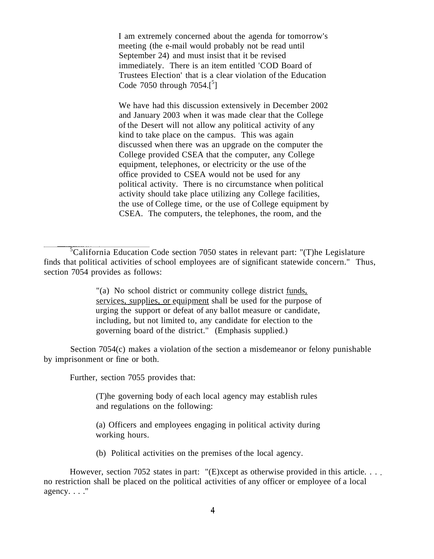I am extremely concerned about the agenda for tomorrow's meeting (the e-mail would probably not be read until September 24) and must insist that it be revised immediately. There is an item entitled 'COD Board of Trustees Election' that is a clear violation of the Education Code  $7050$  through  $7054.[^5]$ 

We have had this discussion extensively in December 2002 and January 2003 when it was made clear that the College of the Desert will not allow any political activity of any kind to take place on the campus. This was again discussed when there was an upgrade on the computer the College provided CSEA that the computer, any College equipment, telephones, or electricity or the use of the office provided to CSEA would not be used for any political activity. There is no circumstance when political activity should take place utilizing any College facilities, the use of College time, or the use of College equipment by CSEA. The computers, the telephones, the room, and the

**EXAMPLE 12 SET THEORY OF SUPPORT OF A SUPPORT OF A SUPPORT OF A SUPPORT OF A SUPPORT OF A SUPPORT OF A SUPPORT OF A SUPPORT OF A SUPPORT OF A SUPPORT OF A SUPPORT OF A SUPPORT OF A SUPPORT OF A SUPPORT OF A SUPPORT OF A S** "(a) No school district or community college district funds, services, supplies, or equipment shall be used for the purpose of including, but not limited to, any candidate for election to the governing board of the district." (Emphasis supplied.)

Section 7054(c) makes a violation of the section a misdemeanor or felony punishable by imprisonment or fine or both.

Further, section 7055 provides that:

(T)he governing body of each local agency may establish rules and regulations on the following:

(a) Officers and employees engaging in political activity during working hours.

(b) Political activities on the premises of the local agency.

However, section 7052 states in part: " $(E)$ xcept as otherwise provided in this article. ... no restriction shall be placed on the political activities of any officer or employee of a local agency. . . ."

 ${}^{5}$ California Education Code section 7050 states in relevant part: "(T)he Legislature finds that political activities of school employees are of significant statewide concern." Thus, section 7054 provides as follows: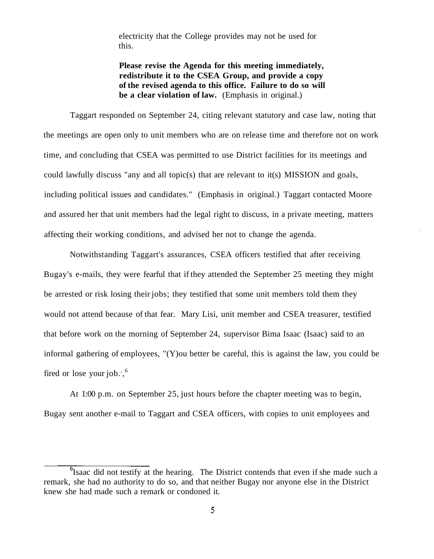electricity that the College provides may not be used for this.

**Please revise the Agenda for this meeting immediately, redistribute it to the CSEA Group, and provide a copy of the revised agenda to this office. Failure to do so will be a clear violation of law.** (Emphasis in original.)

Taggart responded on September 24, citing relevant statutory and case law, noting that the meetings are open only to unit members who are on release time and therefore not on work time, and concluding that CSEA was permitted to use District facilities for its meetings and could lawfully discuss "any and all topic(s) that are relevant to it(s) MISSION and goals, including political issues and candidates." (Emphasis in original.) Taggart contacted Moore and assured her that unit members had the legal right to discuss, in a private meeting, matters affecting their working conditions, and advised her not to change the agenda.

Notwithstanding Taggart's assurances, CSEA officers testified that after receiving Bugay's e-mails, they were fearful that if they attended the September 25 meeting they might be arrested or risk losing their jobs; they testified that some unit members told them they would not attend because of that fear. Mary Lisi, unit member and CSEA treasurer, testified that before work on the morning of September 24, supervisor Bima Isaac (Isaac) said to an informal gathering of employees, "(Y)ou better be careful, this is against the law, you could be fired or lose your job.', $6$ 

At 1:00 p.m. on September 25, just hours before the chapter meeting was to begin, Bugay sent another e-mail to Taggart and CSEA officers, with copies to unit employees and

 $\sigma$ <sup>6</sup>Isaac did not testify at the hearing. The District contends that even if she made such a remark, she had no authority to do so, and that neither Bugay nor anyone else in the District knew she had made such a remark or condoned it.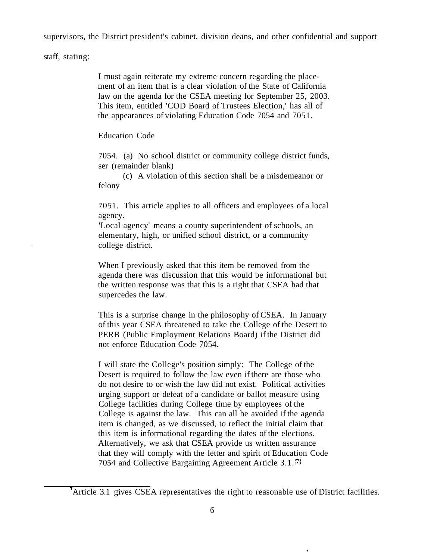supervisors, the District president's cabinet, division deans, and other confidential and support

staff, stating:

I must again reiterate my extreme concern regarding the placement of an item that is a clear violation of the State of California law on the agenda for the CSEA meeting for September 25, 2003. This item, entitled 'COD Board of Trustees Election,' has all of the appearances of violating Education Code 7054 and 7051.

Education Code

7054. (a) No school district or community college district funds, ser (remainder blank)

(c) A violation of this section shall be a misdemeanor or felony

7051. This article applies to all officers and employees of a local agency.

'Local agency' means a county superintendent of schools, an elementary, high, or unified school district, or a community college district.

When I previously asked that this item be removed from the agenda there was discussion that this would be informational but the written response was that this is a right that CSEA had that supercedes the law.

This is a surprise change in the philosophy of CSEA. In January of this year CSEA threatened to take the College of the Desert to PERB (Public Employment Relations Board) if the District did not enforce Education Code 7054.

I will state the College's position simply: The College of the Desert is required to follow the law even if there are those who do not desire to or wish the law did not exist. Political activities urging support or defeat of a candidate or ballot measure using College facilities during College time by employees of the College is against the law. This can all be avoided if the agenda item is changed, as we discussed, to reflect the initial claim that this item is informational regarding the dates of the elections. Alternatively, we ask that CSEA provide us written assurance that they will comply with the letter and spirit of Education Code 7054 and Collective Bargaining Agreement Article 3.1.(7)

Article 3.1 gives CSEA representatives the right to reasonable use of District facilities.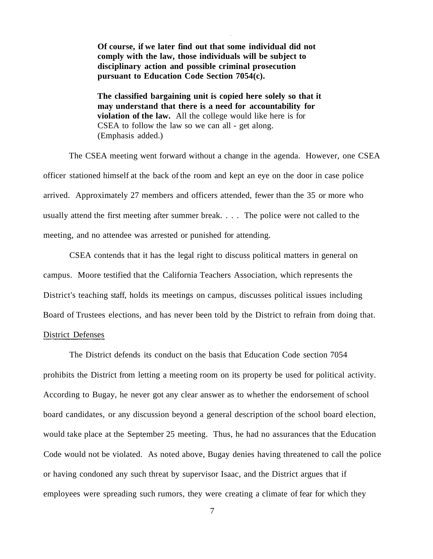**Of course, if we later find out that some individual did not comply with the law, those individuals will be subject to disciplinary action and possible criminal prosecution pursuant to Education Code Section 7054(c).** 

**The classified bargaining unit is copied here solely so that it may understand that there is a need for accountability for violation of the law.** All the college would like here is for CSEA to follow the law so we can all - get along. (Emphasis added.)

The CSEA meeting went forward without a change in the agenda. However, one CSEA officer stationed himself at the back of the room and kept an eye on the door in case police arrived. Approximately 27 members and officers attended, fewer than the 35 or more who usually attend the first meeting after summer break. . . . The police were not called to the meeting, and no attendee was arrested or punished for attending.

CSEA contends that it has the legal right to discuss political matters in general on campus. Moore testified that the California Teachers Association, which represents the District's teaching staff, holds its meetings on campus, discusses political issues including Board of Trustees elections, and has never been told by the District to refrain from doing that.

### District Defenses

The District defends its conduct on the basis that Education Code section 7054 prohibits the District from letting a meeting room on its property be used for political activity. According to Bugay, he never got any clear answer as to whether the endorsement of school board candidates, or any discussion beyond a general description of the school board election, would take place at the September 25 meeting. Thus, he had no assurances that the Education Code would not be violated. As noted above, Bugay denies having threatened to call the police or having condoned any such threat by supervisor Isaac, and the District argues that if employees were spreading such rumors, they were creating a climate of fear for which they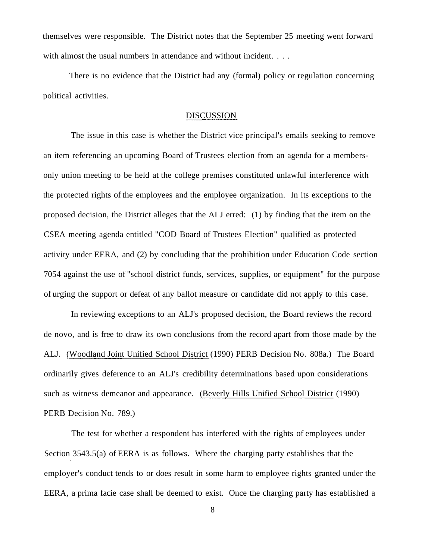themselves were responsible. The District notes that the September 25 meeting went forward with almost the usual numbers in attendance and without incident. . . .

There is no evidence that the District had any (formal) policy or regulation concerning political activities.

#### **DISCUSSION**

The issue in this case is whether the District vice principal's emails seeking to remove an item referencing an upcoming Board of Trustees election from an agenda for a membersonly union meeting to be held at the college premises constituted unlawful interference with the protected rights of the employees and the employee organization. In its exceptions to the proposed decision, the District alleges that the ALJ erred: (1) by finding that the item on the CSEA meeting agenda entitled "COD Board of Trustees Election" qualified as protected activity under EERA, and (2) by concluding that the prohibition under Education Code section 7054 against the use of "school district funds, services, supplies, or equipment" for the purpose of urging the support or defeat of any ballot measure or candidate did not apply to this case.

In reviewing exceptions to an ALJ's proposed decision, the Board reviews the record de novo, and is free to draw its own conclusions from the record apart from those made by the ALJ. (Woodland Joint Unified School District (1990) PERB Decision No. 808a.) The Board ordinarily gives deference to an ALJ's credibility determinations based upon considerations such as witness demeanor and appearance. (Beverly Hills Unified School District (1990) PERB Decision No. 789.)

The test for whether a respondent has interfered with the rights of employees under Section 3543.5(a) of EERA is as follows. Where the charging party establishes that the employer's conduct tends to or does result in some harm to employee rights granted under the EERA, a prima facie case shall be deemed to exist. Once the charging party has established a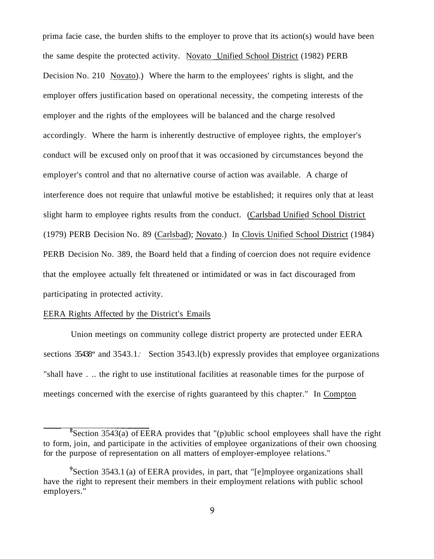prima facie case, the burden shifts to the employer to prove that its action(s) would have been the same despite the protected activity. Novato Unified School District (1982) PERB Decision No. 210 Novato).) Where the harm to the employees' rights is slight, and the employer offers justification based on operational necessity, the competing interests of the employer and the rights of the employees will be balanced and the charge resolved accordingly. Where the harm is inherently destructive of employee rights, the employer's conduct will be excused only on proof that it was occasioned by circumstances beyond the employer's control and that no alternative course of action was available. A charge of interference does not require that unlawful motive be established; it requires only that at least slight harm to employee rights results from the conduct. (Carlsbad Unified School District (1979) PERB Decision No. 89 (Carlsbad); Novato.) In Clovis Unified School District (1984) PERB Decision No. 389, the Board held that a finding of coercion does not require evidence that the employee actually felt threatened or intimidated or was in fact discouraged from participating in protected activity.

#### EERA Rights Affected by the District's Emails

Union meetings on community college district property are protected under EERA sections  $35438^{\circ}$  and  $3543.1$ . Section  $3543.1$ (b) expressly provides that employee organizations "shall have . .. the right to use institutional facilities at reasonable times for the purpose of meetings concerned with the exercise of rights guaranteed by this chapter." In Compton

 $8$  Section 3543(a) of EERA provides that "(p)ublic school employees shall have the right to form, join, and participate in the activities of employee organizations of their own choosing for the purpose of representation on all matters of employer-employee relations."

<sup>&</sup>lt;sup>9</sup> Section 3543.1 (a) of EERA provides, in part, that "[e]mployee organizations shall have the right to represent their members in their employment relations with public school employers."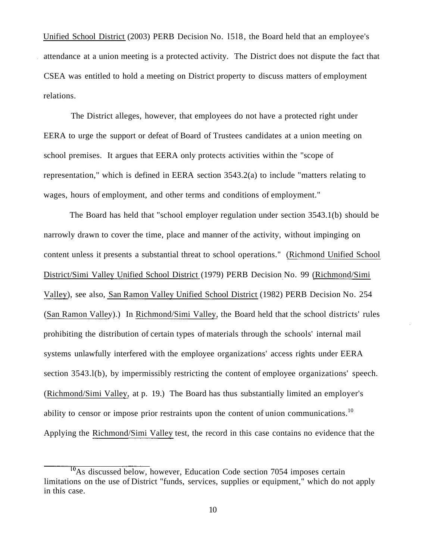Unified School District (2003) PERB Decision No. l5l8, the Board held that an employee's attendance at a union meeting is a protected activity. The District does not dispute the fact that CSEA was entitled to hold a meeting on District property to discuss matters of employment relations.

The District alleges, however, that employees do not have a protected right under EERA to urge the support or defeat of Board of Trustees candidates at a union meeting on school premises. It argues that EERA only protects activities within the "scope of representation," which is defined in EERA section 3543.2(a) to include "matters relating to wages, hours of employment, and other terms and conditions of employment."

The Board has held that "school employer regulation under section 3543.1(b) should be narrowly drawn to cover the time, place and manner of the activity, without impinging on content unless it presents a substantial threat to school operations." (Richmond Unified School District/Simi Valley Unified School District (1979) PERB Decision No. 99 (Richmond/Simi Valley), see also, San Ramon Valley Unified School District (1982) PERB Decision No. 254 (San Ramon Valley).) In Richmond/Simi Valley, the Board held that the school districts' rules prohibiting the distribution of certain types of materials through the schools' internal mail systems unlawfully interfered with the employee organizations' access rights under EERA section 3543.l(b), by impermissibly restricting the content of employee organizations' speech. (Richmond/Simi Valley, at p. 19.) The Board has thus substantially limited an employer's ability to censor or impose prior restraints upon the content of union [communications.](https://communications.10)<sup>10</sup> Applying the Richmond/Simi Valley test, the record in this case contains no evidence that the

To<sub>As</sub> discussed below, however, Education Code section 7054 imposes certain limitations on the use of District "funds, services, supplies or equipment," which do not apply in this case.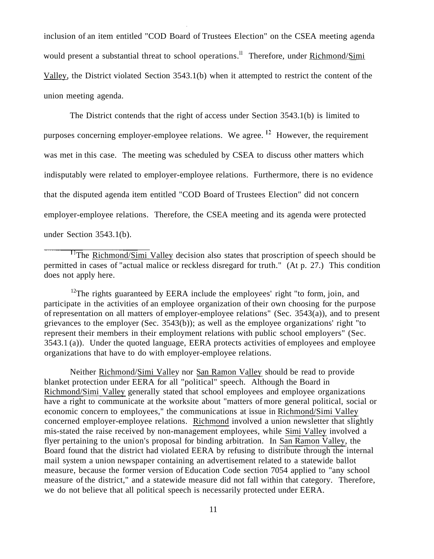inclusion of an item entitled "COD Board of Trustees Election" on the CSEA meeting agenda would present a substantial threat to school [operations.](https://operations.ll)<sup>II</sup> Therefore, under Richmond/Simi Valley, the District violated Section 3543.1(b) when it attempted to restrict the content of the union meeting agenda.

The District contends that the right of access under Section 3543.1(b) is limited to purposes concerning employer-employee relations. We [agree.](https://agree.12)<sup>12</sup> However, the requirement was met in this case. The meeting was scheduled by CSEA to discuss other matters which indisputably were related to employer-employee relations. Furthermore, there is no evidence that the disputed agenda item entitled "COD Board of Trustees Election" did not concern employer-employee relations. Therefore, the CSEA meeting and its agenda were protected under Section 3543.1(b).

<sup>11</sup>The Richmond/Simi Valley decision also states that proscription of speech should be permitted in cases of "actual malice or reckless disregard for truth." (At p. 27.) This condition does not apply here.

<sup>12</sup>The rights guaranteed by EERA include the employees' right "to form, join, and participate in the activities of an employee organization of their own choosing for the purpose of representation on all matters of employer-employee relations" (Sec. 3543(a)), and to present grievances to the employer (Sec. 3543(b)); as well as the employee organizations' right "to represent their members in their employment relations with public school employers" (Sec. 3543.1 (a)). Under the quoted language, EERA protects activities of employees and employee organizations that have to do with employer-employee relations.

Neither Richmond/Simi Valley nor San Ramon Valley should be read to provide blanket protection under EERA for all "political" speech. Although the Board in Richmond/Simi Valley generally stated that school employees and employee organizations have a right to communicate at the worksite about "matters of more general political, social or economic concern to employees," the communications at issue in Richmond/Simi Valley concerned employer-employee relations. Richmond involved a union newsletter that slightly mis-stated the raise received by non-management employees, while Simi Valley involved a flyer pertaining to the union's proposal for binding arbitration. In San Ramon Valley, the Board found that the district had violated EERA by refusing to distribute through the internal mail system a union newspaper containing an advertisement related to a statewide ballot measure, because the former version of Education Code section 7054 applied to "any school measure of the district," and a statewide measure did not fall within that category. Therefore, we do not believe that all political speech is necessarily protected under EERA.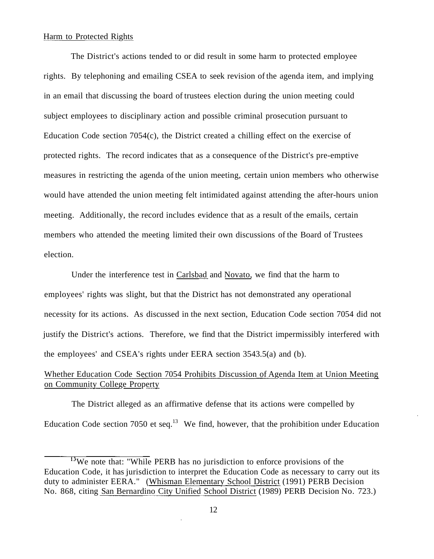### Harm to Protected Rights

The District's actions tended to or did result in some harm to protected employee rights. By telephoning and emailing CSEA to seek revision of the agenda item, and implying in an email that discussing the board of trustees election during the union meeting could subject employees to disciplinary action and possible criminal prosecution pursuant to Education Code section 7054(c), the District created a chilling effect on the exercise of protected rights. The record indicates that as a consequence of the District's pre-emptive measures in restricting the agenda of the union meeting, certain union members who otherwise would have attended the union meeting felt intimidated against attending the after-hours union meeting. Additionally, the record includes evidence that as a result of the emails, certain members who attended the meeting limited their own discussions of the Board of Trustees election.

Under the interference test in Carlsbad and Novato, we find that the harm to employees' rights was slight, but that the District has not demonstrated any operational necessity for its actions. As discussed in the next section, Education Code section 7054 did not justify the District's actions. Therefore, we find that the District impermissibly interfered with the employees' and CSEA's rights under EERA section 3543.5(a) and (b).

## Whether Education Code Section 7054 Prohibits Discussion of Agenda Item at Union Meeting on Community College Property

The District alleged as an affirmative defense that its actions were compelled by Education Code section 7050 et seq.<sup>13</sup> We find, however, that the prohibition under Education

<sup>&</sup>lt;sup>13</sup>We note that: "While PERB has no jurisdiction to enforce provisions of the Education Code, it has jurisdiction to interpret the Education Code as necessary to carry out its duty to administer EERA." (Whisman Elementary School District (1991) PERB Decision No. 868, citing San Bernardino City Unified School District (1989) PERB Decision No. 723.)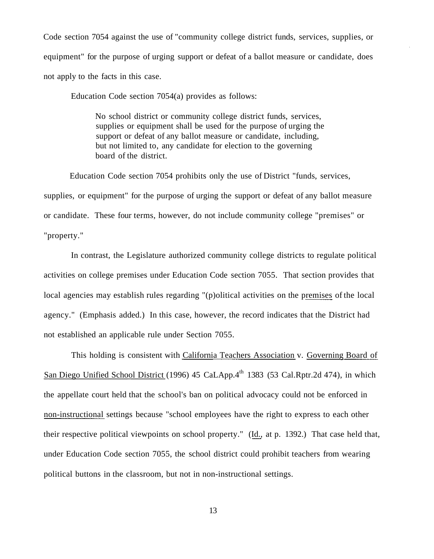Code section 7054 against the use of "community college district funds, services, supplies, or equipment" for the purpose of urging support or defeat of a ballot measure or candidate, does not apply to the facts in this case.

Education Code section 7054(a) provides as follows:

No school district or community college district funds, services, supplies or equipment shall be used for the purpose of urging the support or defeat of any ballot measure or candidate, including, but not limited to, any candidate for election to the governing board of the district.

Education Code section 7054 prohibits only the use of District "funds, services, supplies, or equipment" for the purpose of urging the support or defeat of any ballot measure or candidate. These four terms, however, do not include community college "premises" or "property."

In contrast, the Legislature authorized community college districts to regulate political activities on college premises under Education Code section 7055. That section provides that local agencies may establish rules regarding "(p)olitical activities on the premises of the local agency." (Emphasis added.) In this case, however, the record indicates that the District had not established an applicable rule under Section 7055.

This holding is consistent with California Teachers Association v. Governing Board of San Diego Unified School District (1996) 45 CaLApp.4<sup>th</sup> 1383 (53 [Cal.Rptr.2d](https://Cal.Rptr.2d) 474), in which the appellate court held that the school's ban on political advocacy could not be enforced in non-instructional settings because "school employees have the right to express to each other their respective political viewpoints on school property." (Id., at p. 1392.) That case held that, under Education Code section 7055, the school district could prohibit teachers from wearing political buttons in the classroom, but not in non-instructional settings.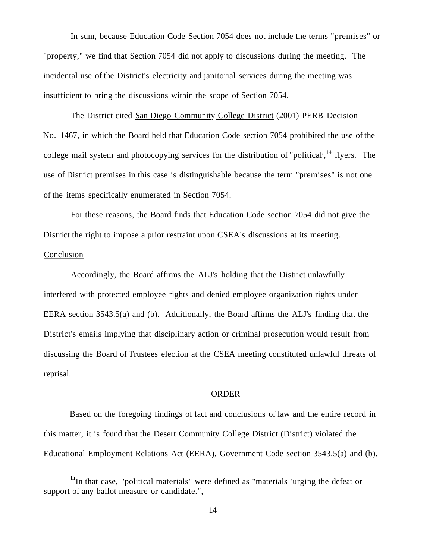In sum, because Education Code Section 7054 does not include the terms "premises" or "property," we find that Section 7054 did not apply to discussions during the meeting. The incidental use of the District's electricity and janitorial services during the meeting was insufficient to bring the discussions within the scope of Section 7054.

The District cited San Diego Community College District (2001) PERB Decision No. 1467, in which the Board held that Education Code section 7054 prohibited the use of the college mail system and photocopying services for the distribution of "political",  $^{14}$  flyers. The use of District premises in this case is distinguishable because the term "premises" is not one of the items specifically enumerated in Section 7054.

For these reasons, the Board finds that Education Code section 7054 did not give the District the right to impose a prior restraint upon CSEA's discussions at its meeting. Conclusion

Accordingly, the Board affirms the ALJ's holding that the District unlawfully interfered with protected employee rights and denied employee organization rights under EERA section 3543.5(a) and (b). Additionally, the Board affirms the ALJ's finding that the District's emails implying that disciplinary action or criminal prosecution would result from discussing the Board of Trustees election at the CSEA meeting constituted unlawful threats of reprisal.

#### ORDER

Based on the foregoing findings of fact and conclusions of law and the entire record in this matter, it is found that the Desert Community College District (District) violated the Educational Employment Relations Act (EERA), Government Code section 3543.5(a) and (b).

 $14$ In that case, "political materials" were defined as "materials 'urging the defeat or support of any ballot measure or candidate.",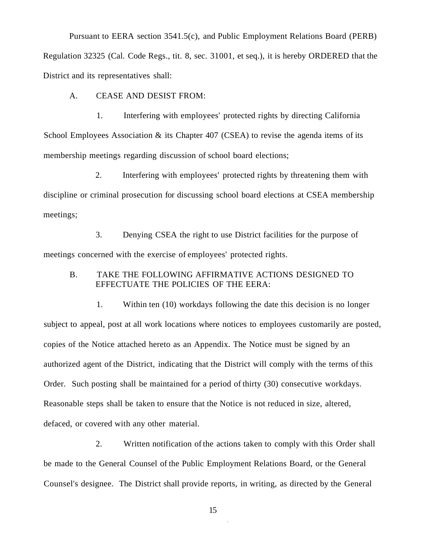Pursuant to EERA section 3541.5(c), and Public Employment Relations Board (PERB) Regulation 32325 (Cal. Code Regs., tit. 8, sec. 31001, et seq.), it is hereby ORDERED that the District and its representatives shall:

A. CEASE AND DESIST FROM:

1. Interfering with employees' protected rights by directing California School Employees Association  $\&$  its Chapter 407 (CSEA) to revise the agenda items of its membership meetings regarding discussion of school board elections;

2. Interfering with employees' protected rights by threatening them with discipline or criminal prosecution for discussing school board elections at CSEA membership meetings;

3. Denying CSEA the right to use District facilities for the purpose of meetings concerned with the exercise of employees' protected rights.

### B. TAKE THE FOLLOWING AFFIRMATIVE ACTIONS DESIGNED TO EFFECTUATE THE POLICIES OF THE EERA:

1. Within ten (10) workdays following the date this decision is no longer subject to appeal, post at all work locations where notices to employees customarily are posted, copies of the Notice attached hereto as an Appendix. The Notice must be signed by an authorized agent of the District, indicating that the District will comply with the terms of this Order. Such posting shall be maintained for a period of thirty (30) consecutive workdays. Reasonable steps shall be taken to ensure that the Notice is not reduced in size, altered, defaced, or covered with any other material.

2. Written notification of the actions taken to comply with this Order shall be made to the General Counsel of the Public Employment Relations Board, or the General Counsel's designee. The District shall provide reports, in writing, as directed by the General

15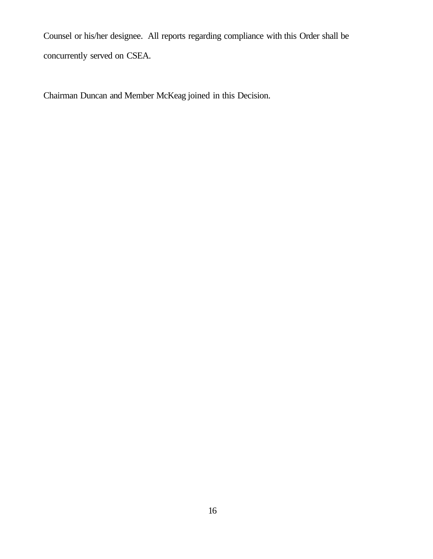Counsel or his/her designee. All reports regarding compliance with this Order shall be concurrently served on CSEA.

Chairman Duncan and Member McKeag joined in this Decision.